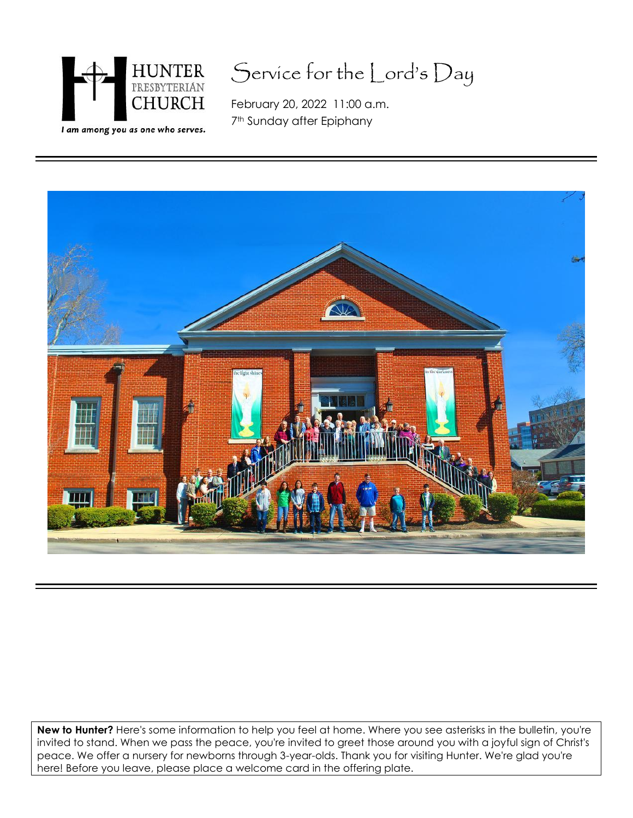

## Service for the Lord's Day

February 20, 2022 11:00 a.m. 7<sup>th</sup> Sunday after Epiphany



**New to Hunter?** Here's some information to help you feel at home. Where you see asterisks in the bulletin, you're invited to stand. When we pass the peace, you're invited to greet those around you with a joyful sign of Christ's peace. We offer a nursery for newborns through 3-year-olds. Thank you for visiting Hunter. We're glad you're here! Before you leave, please place a welcome card in the offering plate.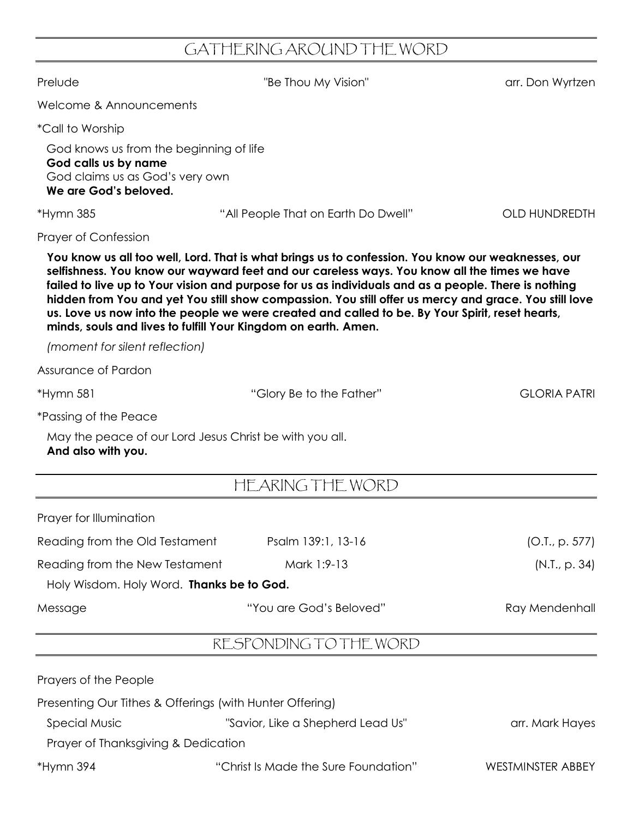## GATHERING AROUND THE WORD

| Prelude                                                                                                                     | "Be Thou My Vision"                                                                                                                                                                                                                                                                                                                                                                                                                                                                                                    | arr. Don Wyrtzen     |
|-----------------------------------------------------------------------------------------------------------------------------|------------------------------------------------------------------------------------------------------------------------------------------------------------------------------------------------------------------------------------------------------------------------------------------------------------------------------------------------------------------------------------------------------------------------------------------------------------------------------------------------------------------------|----------------------|
| Welcome & Announcements                                                                                                     |                                                                                                                                                                                                                                                                                                                                                                                                                                                                                                                        |                      |
| <i>*Call to Worship</i>                                                                                                     |                                                                                                                                                                                                                                                                                                                                                                                                                                                                                                                        |                      |
| God knows us from the beginning of life<br>God calls us by name<br>God claims us as God's very own<br>We are God's beloved. |                                                                                                                                                                                                                                                                                                                                                                                                                                                                                                                        |                      |
| $*Hymn$ 385                                                                                                                 | "All People That on Earth Do Dwell"                                                                                                                                                                                                                                                                                                                                                                                                                                                                                    | <b>OLD HUNDREDTH</b> |
| Prayer of Confession                                                                                                        |                                                                                                                                                                                                                                                                                                                                                                                                                                                                                                                        |                      |
| minds, souls and lives to fulfill Your Kingdom on earth. Amen.                                                              | You know us all too well, Lord. That is what brings us to confession. You know our weaknesses, our<br>selfishness. You know our wayward feet and our careless ways. You know all the times we have<br>failed to live up to Your vision and purpose for us as individuals and as a people. There is nothing<br>hidden from You and yet You still show compassion. You still offer us mercy and grace. You still love<br>us. Love us now into the people we were created and called to be. By Your Spirit, reset hearts, |                      |
| (moment for silent reflection)                                                                                              |                                                                                                                                                                                                                                                                                                                                                                                                                                                                                                                        |                      |
| Assurance of Pardon                                                                                                         |                                                                                                                                                                                                                                                                                                                                                                                                                                                                                                                        |                      |
| *Hymn 581                                                                                                                   | "Glory Be to the Father"                                                                                                                                                                                                                                                                                                                                                                                                                                                                                               | <b>GLORIA PATRI</b>  |
| <i>*Passing of the Peace</i>                                                                                                |                                                                                                                                                                                                                                                                                                                                                                                                                                                                                                                        |                      |
| May the peace of our Lord Jesus Christ be with you all.<br>And also with you.                                               |                                                                                                                                                                                                                                                                                                                                                                                                                                                                                                                        |                      |
|                                                                                                                             | HEARING THE WORD                                                                                                                                                                                                                                                                                                                                                                                                                                                                                                       |                      |
| Prayer for Illumination                                                                                                     |                                                                                                                                                                                                                                                                                                                                                                                                                                                                                                                        |                      |
| Reading from the Old Testament                                                                                              | Psalm 139:1, 13-16                                                                                                                                                                                                                                                                                                                                                                                                                                                                                                     | (O.I., p. 577)       |
| Reading from the New Testament                                                                                              | Mark 1:9-13                                                                                                                                                                                                                                                                                                                                                                                                                                                                                                            | (N.I., p. 34)        |
| Holy Wisdom. Holy Word. Thanks be to God.                                                                                   |                                                                                                                                                                                                                                                                                                                                                                                                                                                                                                                        |                      |
| Message                                                                                                                     | "You are God's Beloved"                                                                                                                                                                                                                                                                                                                                                                                                                                                                                                | Ray Mendenhall       |
|                                                                                                                             | RESPONDING TO THE WORD                                                                                                                                                                                                                                                                                                                                                                                                                                                                                                 |                      |
| Prayers of the People                                                                                                       |                                                                                                                                                                                                                                                                                                                                                                                                                                                                                                                        |                      |
| Presenting Our Tithes & Offerings (with Hunter Offering)                                                                    |                                                                                                                                                                                                                                                                                                                                                                                                                                                                                                                        |                      |
| <b>Special Music</b><br>Prayer of Thanksgiving & Dedication                                                                 | "Savior, Like a Shepherd Lead Us"                                                                                                                                                                                                                                                                                                                                                                                                                                                                                      | arr. Mark Hayes      |
| *Hymn 394                                                                                                                   | "Christ Is Made the Sure Foundation"                                                                                                                                                                                                                                                                                                                                                                                                                                                                                   | WESTMINSTER ABBEY    |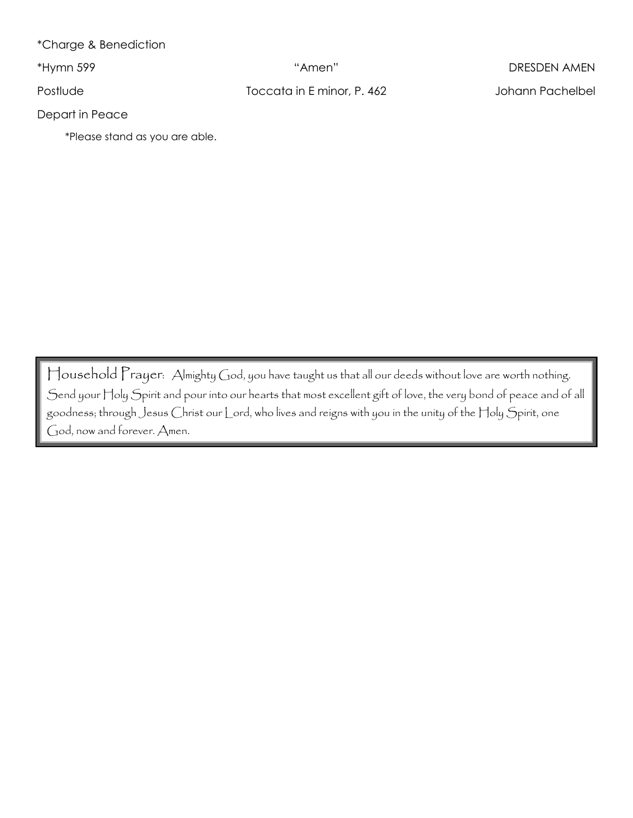\*Charge & Benediction

Postlude Toccata in E minor, P. 462 Johann Pachelbel

\*Hymn 599 "Amen" DRESDEN AMEN

Depart in Peace

\*Please stand as you are able.

Household Prayer: Almighty God, you have taught us that all our deeds without love are worth nothing. Send your Holy Spirit and pour into our hearts that most excellent gift of love, the very bond of peace and of all goodness; through Jesus Christ our Lord, who lives and reigns with you in the unity of the Holy Spirit, one God, now and forever. Amen.